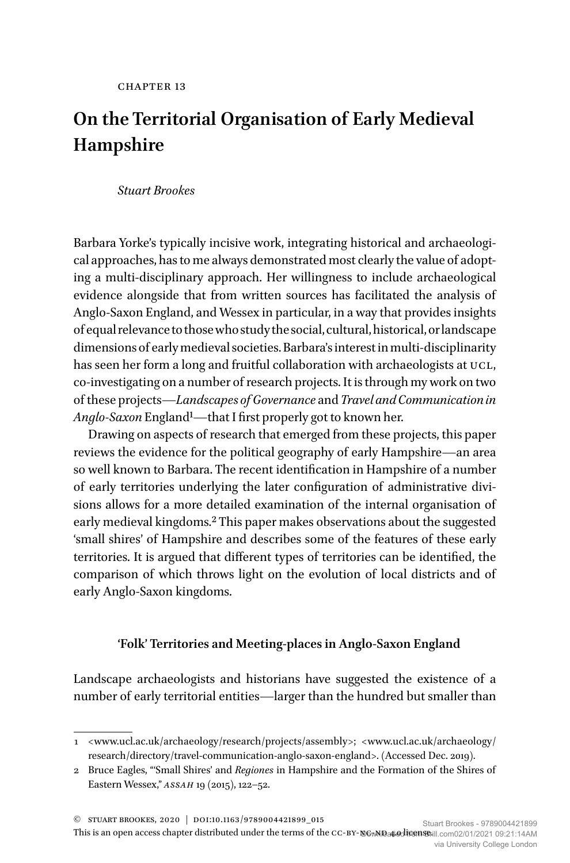# **On the Territorial Organisation of Early Medieval Hampshire**

## *Stuart Brookes*

Barbara Yorke's typically incisive work, integrating historical and archaeological approaches, has to me always demonstrated most clearly the value of adopting a multi-disciplinary approach. Her willingness to include archaeological evidence alongside that from written sources has facilitated the analysis of Anglo-Saxon England, and Wessex in particular, in a way that provides insights of equal relevance to those who study the social, cultural, historical, or landscape dimensions of early medieval societies. Barbara's interest in multi-disciplinarity has seen her form a long and fruitful collaboration with archaeologists at UCL, co-investigating on a number of research projects. It is through my work on two of these projects—*Landscapes of Governance* and *Travel and Communication in Anglo-Saxon* Englan[d1](#page-0-0)—that I first properly got to known her.

Drawing on aspects of research that emerged from these projects, this paper reviews the evidence for the political geography of early Hampshire—an area so well known to Barbara. The recent identification in Hampshire of a number of early territories underlying the later configuration of administrative divisions allows for a more detailed examination of the internal organisation of early medieval kingdoms.<sup>2</sup> This paper makes observations about the suggested 'small shires' of Hampshire and describes some of the features of these early territories. It is argued that different types of territories can be identified, the comparison of which throws light on the evolution of local districts and of early Anglo-Saxon kingdoms.

## **'Folk' Territories and Meeting-places in Anglo-Saxon England**

Landscape archaeologists and historians have suggested the existence of a number of early territorial entities—larger than the hundred but smaller than

<span id="page-0-0"></span><sup>1 &</sup>lt;[www.ucl.ac.uk/archaeology/research/projects/assembly](http://www.ucl.ac.uk/archaeology/research/projects/assembly)>; [<www.ucl.ac.uk/archaeology/](http://www.ucl.ac.uk/archaeology/research/directory/travel-communication-anglo-saxon-england) [research/directory/travel-communication-anglo-saxon-england](http://www.ucl.ac.uk/archaeology/research/directory/travel-communication-anglo-saxon-england)>. (Accessed Dec. 2019).

<span id="page-0-1"></span><sup>2</sup> Bruce Eagles, "'Small Shires' and *Regiones* in Hampshire and the Formation of the Shires of Eastern Wessex," *assah* 19 (2015), 122–52.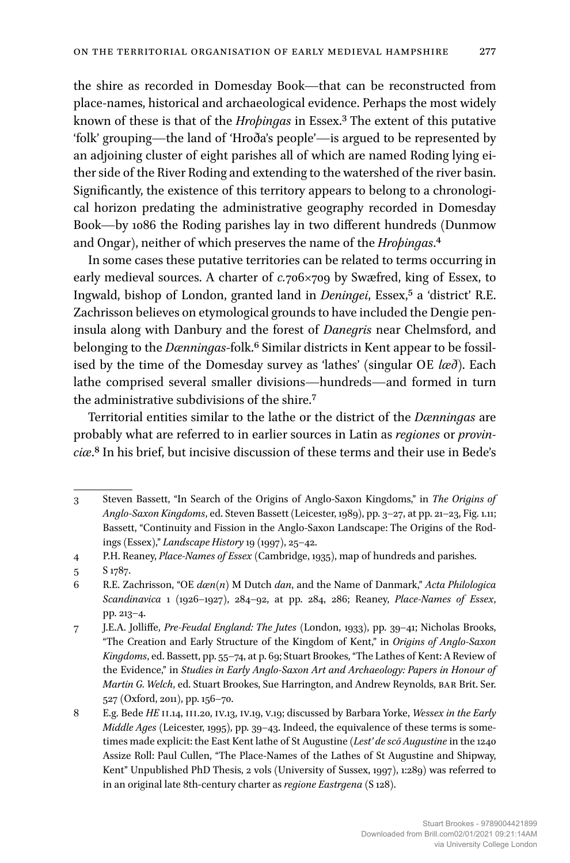the shire as recorded in Domesday Book—that can be reconstructed from place-names, historical and archaeological evidence. Perhaps the most widely known of these is that of the *Hroþingas* in Essex.[3](#page-1-0) The extent of this putative 'folk' grouping—the land of 'Hroða's people'—is argued to be represented by an adjoining cluster of eight parishes all of which are named Roding lying either side of the River Roding and extending to the watershed of the river basin. Significantly, the existence of this territory appears to belong to a chronological horizon predating the administrative geography recorded in Domesday Book—by 1086 the Roding parishes lay in two different hundreds (Dunmow and Ongar), neither of which preserves the name of the *Hroþingas*[.4](#page-1-1)

In some cases these putative territories can be related to terms occurring in early medieval sources. A charter of *c.*706×709 by Swæfred, king of Essex, to Ingwald, bishop of London, granted land in *Deningei*, Essex,[5](#page-1-2) a 'district' R.E. Zachrisson believes on etymological grounds to have included the Dengie peninsula along with Danbury and the forest of *Danegris* near Chelmsford, and belonging to the *Dænningas*-folk.[6](#page-1-3) Similar districts in Kent appear to be fossilised by the time of the Domesday survey as 'lathes' (singular OE *læð*). Each lathe comprised several smaller divisions—hundreds—and formed in turn the administrative subdivisions of the shire[.7](#page-1-4)

Territorial entities similar to the lathe or the district of the *Dænningas* are probably what are referred to in earlier sources in Latin as *regiones* or *provinciæ*.[8](#page-1-5) In his brief, but incisive discussion of these terms and their use in Bede's

<span id="page-1-0"></span><sup>3</sup> Steven Bassett, "In Search of the Origins of Anglo-Saxon Kingdoms," in *The Origins of Anglo-Saxon Kingdoms*, ed. Steven Bassett (Leicester, 1989), pp. 3–27, at pp. 21–23, Fig. 1.11; Bassett, "Continuity and Fission in the Anglo-Saxon Landscape: The Origins of the Rodings (Essex)," *Landscape History* 19 (1997), 25–42.

<span id="page-1-1"></span><sup>4</sup> P.H. Reaney, *Place-Names of Essex* (Cambridge, 1935), map of hundreds and parishes.

<span id="page-1-2"></span><sup>5</sup> S 1787.

<span id="page-1-3"></span><sup>6</sup> R.E. Zachrisson, "OE *dæn(n)* M Dutch *dan*, and the Name of Danmark," *Acta Philologica Scandinavica* 1 (1926–1927), 284–92, at pp. 284, 286; Reaney, *Place-Names of Essex*, pp. 213–4.

<span id="page-1-4"></span><sup>7</sup> J.E.A. Jolliffe, *Pre-Feudal England: The Jutes* (London, 1933), pp. 39–41; Nicholas Brooks, "The Creation and Early Structure of the Kingdom of Kent," in *Origins of Anglo-Saxon Kingdoms*, ed. Bassett, pp. 55–74, at p. 69; Stuart Brookes, "The Lathes of Kent: A Review of the Evidence," in *Studies in Early Anglo-Saxon Art and Archaeology: Papers in Honour of Martin G. Welch*, ed. Stuart Brookes, Sue Harrington, and Andrew Reynolds, BAR Brit. Ser. 527 (Oxford, 2011), pp. 156–70.

<span id="page-1-5"></span><sup>8</sup> E.g. Bede *HE* ii.14, iii.20, iv.13, iv.19, v.19; discussed by Barbara Yorke, *Wessex in the Early Middle Ages* (Leicester, 1995), pp. 39–43. Indeed, the equivalence of these terms is sometimes made explicit: the East Kent lathe of St Augustine (*Lest' de scō Augustine* in the 1240 Assize Roll: Paul Cullen, "The Place-Names of the Lathes of St Augustine and Shipway, Kent" Unpublished PhD Thesis, 2 vols (University of Sussex, 1997), 1:289) was referred to in an original late 8th-century charter as *regione Eastrgena* (S 128).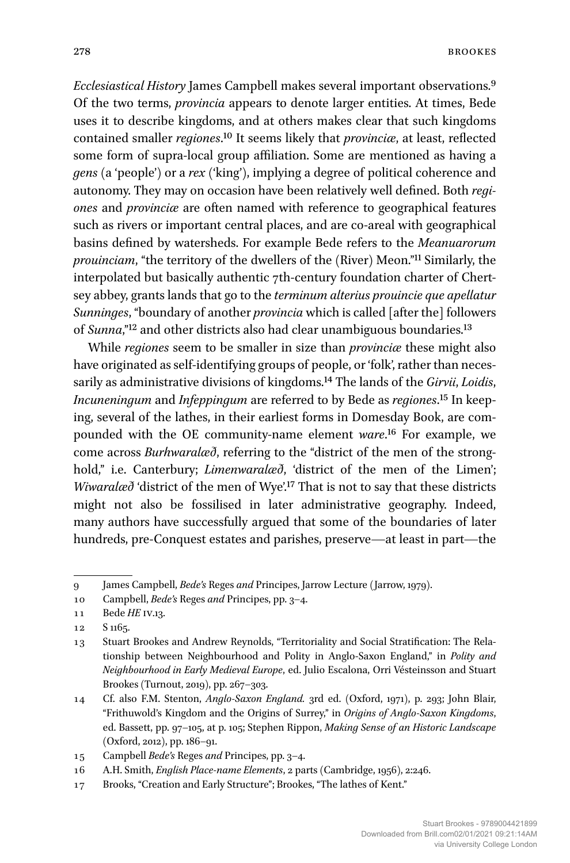*Ecclesiastical History* James Campbell makes several important observations.[9](#page-2-0) Of the two terms, *provincia* appears to denote larger entities. At times, Bede uses it to describe kingdoms, and at others makes clear that such kingdoms contained smaller *regiones*[.10](#page-2-1) It seems likely that *provinciæ*, at least, reflected some form of supra-local group affiliation. Some are mentioned as having a *gens* (a 'people') or a *rex* ('king'), implying a degree of political coherence and autonomy. They may on occasion have been relatively well defined. Both *regiones* and *provinciæ* are often named with reference to geographical features such as rivers or important central places, and are co-areal with geographical basins defined by watersheds. For example Bede refers to the *Meanuarorum prouinciam*, "the territory of the dwellers of the (River) Meon."[11](#page-2-2) Similarly, the interpolated but basically authentic 7th-century foundation charter of Chertsey abbey, grants lands that go to the *terminum alterius prouincie que apellatur Sunninges*, "boundary of another *provincia* which is called [after the] followers of *Sunna*,"<sup>12</sup> and other districts also had clear unambiguous boundaries.<sup>[13](#page-2-4)</sup>

While *regiones* seem to be smaller in size than *provinciæ* these might also have originated as self-identifying groups of people, or 'folk', rather than necessarily as administrative divisions of kingdoms.[14](#page-2-5) The lands of the *Girvii*, *Loidis*, *Incuneningum* and *Infeppingum* are referred to by Bede as *regiones*[.15](#page-2-6) In keeping, several of the lathes, in their earliest forms in Domesday Book, are compounded with the OE community-name element *ware*.[16](#page-2-7) For example, we come across *Burhwaralæð*, referring to the "district of the men of the stronghold," i.e. Canterbury; *Limenwaralæð*, 'district of the men of the Limen'; *Wiwaralæð* 'district of the men of Wye'[.17](#page-2-8) That is not to say that these districts might not also be fossilised in later administrative geography. Indeed, many authors have successfully argued that some of the boundaries of later hundreds, pre-Conquest estates and parishes, preserve—at least in part—the

<span id="page-2-0"></span><sup>9</sup> James Campbell, *Bede's* Reges *and* Principes, Jarrow Lecture (Jarrow, 1979).

<span id="page-2-1"></span><sup>10</sup> Campbell, *Bede's* Reges *and* Principes, pp. 3–4.

<span id="page-2-2"></span><sup>11</sup> Bede *HE* iv.13.

<span id="page-2-3"></span><sup>12</sup> S 1165.

<span id="page-2-4"></span><sup>13</sup> Stuart Brookes and Andrew Reynolds, "Territoriality and Social Stratification: The Relationship between Neighbourhood and Polity in Anglo-Saxon England," in *Polity and Neighbourhood in Early Medieval Europe*, ed. Julio Escalona, Orri Vésteinsson and Stuart Brookes (Turnout, 2019), pp. 267–303.

<span id="page-2-5"></span><sup>14</sup> Cf. also F.M. Stenton, *Anglo-Saxon England.* 3rd ed. (Oxford, 1971), p. 293; John Blair, "Frithuwold's Kingdom and the Origins of Surrey," in *Origins of Anglo-Saxon Kingdoms*, ed. Bassett, pp. 97–105, at p. 105; Stephen Rippon, *Making Sense of an Historic Landscape* (Oxford, 2012), pp. 186–91.

<span id="page-2-6"></span><sup>15</sup> Campbell *Bede's* Reges *and* Principes, pp. 3–4.

<span id="page-2-7"></span><sup>16</sup> A.H. Smith, *English Place-name Elements*, 2 parts (Cambridge, 1956), 2:246.

<span id="page-2-8"></span><sup>17</sup> Brooks, "Creation and Early Structure"; Brookes, "The lathes of Kent."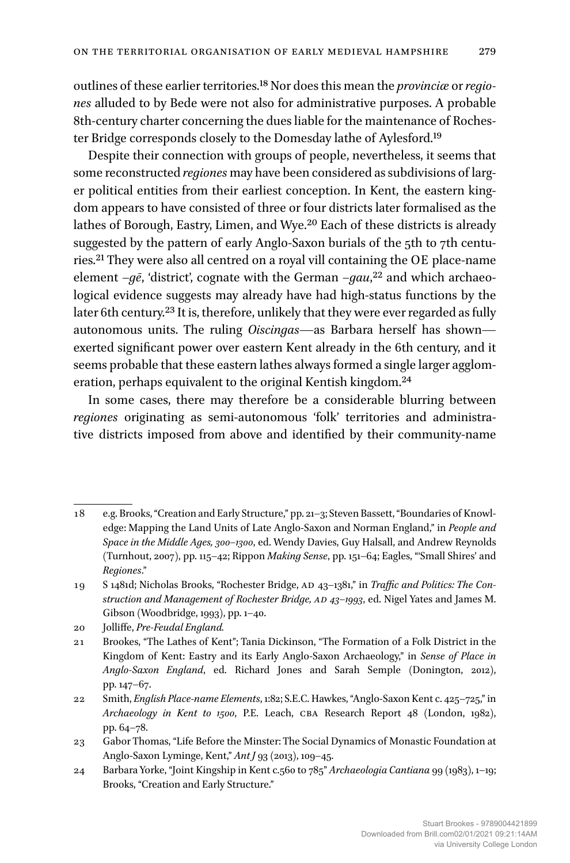outlines of these earlier territories[.18](#page-3-0) Nor does this mean the *provinciæ* or *regiones* alluded to by Bede were not also for administrative purposes. A probable 8th-century charter concerning the dues liable for the maintenance of Rochester Bridge corresponds closely to the Domesday lathe of Aylesford[.19](#page-3-1)

Despite their connection with groups of people, nevertheless, it seems that some reconstructed *regiones* may have been considered as subdivisions of larger political entities from their earliest conception. In Kent, the eastern kingdom appears to have consisted of three or four districts later formalised as the lathes of Borough, Eastry, Limen, and Wye.[20](#page-3-2) Each of these districts is already suggested by the pattern of early Anglo-Saxon burials of the 5th to 7th centuries.[21](#page-3-3) They were also all centred on a royal vill containing the OE place-name element –*gē*, 'district', cognate with the German –*gau*,<sup>22</sup> and which archaeological evidence suggests may already have had high-status functions by the later 6th century.<sup>23</sup> It is, therefore, unlikely that they were ever regarded as fully autonomous units. The ruling *Oiscingas*—as Barbara herself has shown exerted significant power over eastern Kent already in the 6th century, and it seems probable that these eastern lathes always formed a single larger agglom-eration, perhaps equivalent to the original Kentish kingdom.<sup>[24](#page-3-6)</sup>

In some cases, there may therefore be a considerable blurring between *regiones* originating as semi-autonomous 'folk' territories and administrative districts imposed from above and identified by their community-name

<span id="page-3-2"></span>20 Jolliffe, *Pre-Feudal England.*

<span id="page-3-0"></span><sup>18</sup> e.g. Brooks, "Creation and Early Structure," pp. 21–3; Steven Bassett, "Boundaries of Knowledge: Mapping the Land Units of Late Anglo-Saxon and Norman England," in *People and Space in the Middle Ages, 300–1300*, ed. Wendy Davies, Guy Halsall, and Andrew Reynolds (Turnhout, 2007), pp. 115–42; Rippon *Making Sense*, pp. 151–64; Eagles, "'Small Shires' and *Regiones*."

<span id="page-3-1"></span><sup>19</sup> S 1481d; Nicholas Brooks, "Rochester Bridge, ad 43–1381," in *Traffic and Politics: The Construction and Management of Rochester Bridge, ad 43–1993*, ed. Nigel Yates and James M. Gibson (Woodbridge, 1993), pp. 1–40.

<span id="page-3-3"></span><sup>21</sup> Brookes, "The Lathes of Kent"; Tania Dickinson, "The Formation of a Folk District in the Kingdom of Kent: Eastry and its Early Anglo-Saxon Archaeology," in *Sense of Place in Anglo-Saxon England*, ed. Richard Jones and Sarah Semple (Donington, 2012), pp. 147–67.

<span id="page-3-4"></span><sup>22</sup> Smith, *English Place-name Elements*, 1:82; S.E.C. Hawkes, "Anglo-Saxon Kent c. 425–725," in *Archaeology in Kent to 1500*, P.E. Leach, CBA Research Report 48 (London, 1982), pp. 64–78.

<span id="page-3-5"></span><sup>23</sup> Gabor Thomas, "Life Before the Minster: The Social Dynamics of Monastic Foundation at Anglo-Saxon Lyminge, Kent," *Ant J* 93 (2013), 109–45.

<span id="page-3-6"></span><sup>24</sup> Barbara Yorke, "Joint Kingship in Kent c.560 to 785" *Archaeologia Cantiana* 99 (1983), 1–19; Brooks, "Creation and Early Structure."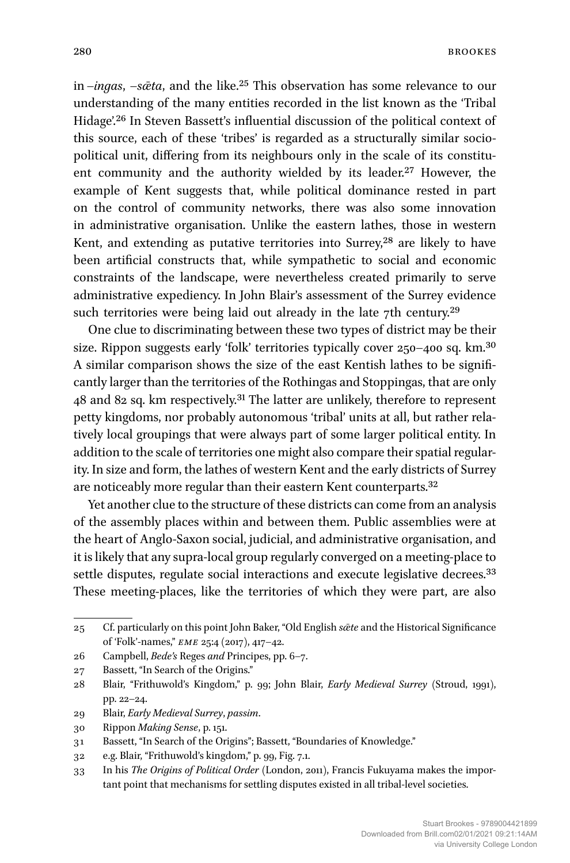in –*ingas*, –*sǣta*, and the like[.25](#page-4-0) This observation has some relevance to our understanding of the many entities recorded in the list known as the 'Tribal Hidage'.<sup>26</sup> In Steven Bassett's influential discussion of the political context of this source, each of these 'tribes' is regarded as a structurally similar sociopolitical unit, differing from its neighbours only in the scale of its constitu-ent community and the authority wielded by its leader.<sup>[27](#page-4-2)</sup> However, the example of Kent suggests that, while political dominance rested in part on the control of community networks, there was also some innovation in administrative organisation. Unlike the eastern lathes, those in western Kent, and extending as putative territories into Surrey,<sup>28</sup> are likely to have been artificial constructs that, while sympathetic to social and economic constraints of the landscape, were nevertheless created primarily to serve administrative expediency. In John Blair's assessment of the Surrey evidence such territories were being laid out already in the late 7th century.<sup>[29](#page-4-4)</sup>

One clue to discriminating between these two types of district may be their size. Rippon suggests early 'folk' territories typically cover 250–400 sq. km.[30](#page-4-5) A similar comparison shows the size of the east Kentish lathes to be significantly larger than the territories of the Rothingas and Stoppingas, that are only 48 and 82 sq. km respectively.[31](#page-4-6) The latter are unlikely, therefore to represent petty kingdoms, nor probably autonomous 'tribal' units at all, but rather relatively local groupings that were always part of some larger political entity. In addition to the scale of territories one might also compare their spatial regularity. In size and form, the lathes of western Kent and the early districts of Surrey are noticeably more regular than their eastern Kent counterparts[.32](#page-4-7)

Yet another clue to the structure of these districts can come from an analysis of the assembly places within and between them. Public assemblies were at the heart of Anglo-Saxon social, judicial, and administrative organisation, and it is likely that any supra-local group regularly converged on a meeting-place to settle disputes, regulate social interactions and execute legislative decrees.<sup>[33](#page-4-8)</sup> These meeting-places, like the territories of which they were part, are also

<span id="page-4-0"></span><sup>25</sup> Cf. particularly on this point John Baker, "Old English *sǣte* and the Historical Significance of 'Folk'-names," *eme* 25:4 (2017), 417–42.

<span id="page-4-1"></span><sup>26</sup> Campbell, *Bede's* Reges *and* Principes, pp. 6–7.

<span id="page-4-2"></span><sup>27</sup> Bassett, "In Search of the Origins."

<span id="page-4-3"></span><sup>28</sup> Blair, "Frithuwold's Kingdom," p. 99; John Blair, *Early Medieval Surrey* (Stroud, 1991), pp. 22–24.

<span id="page-4-4"></span><sup>29</sup> Blair, *Early Medieval Surrey*, *passim*.

<span id="page-4-5"></span><sup>30</sup> Rippon *Making Sense*, p. 151.

<span id="page-4-6"></span><sup>31</sup> Bassett, "In Search of the Origins"; Bassett, "Boundaries of Knowledge."

<span id="page-4-7"></span><sup>32</sup> e.g. Blair, "Frithuwold's kingdom," p. 99, Fig. 7.1.

<span id="page-4-8"></span><sup>33</sup> In his *The Origins of Political Order* (London, 2011), Francis Fukuyama makes the important point that mechanisms for settling disputes existed in all tribal-level societies.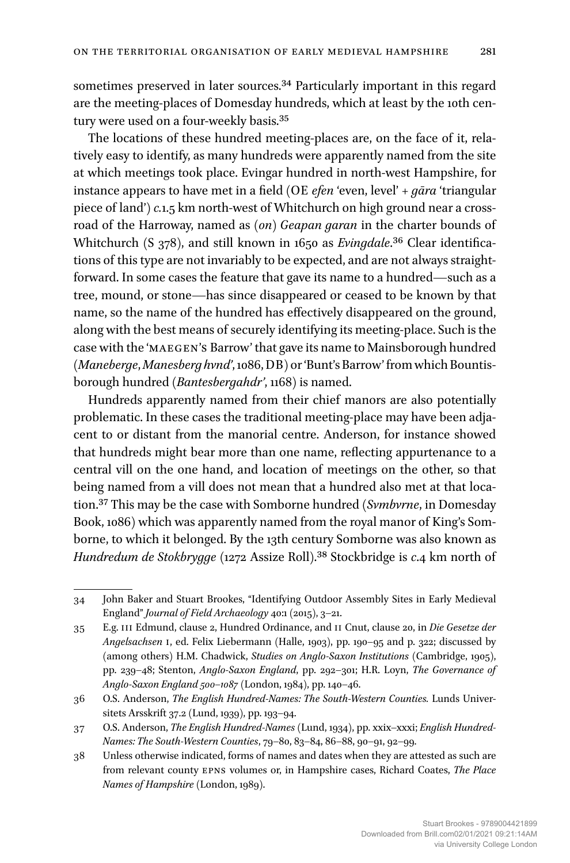sometimes preserved in later sources.<sup>34</sup> Particularly important in this regard are the meeting-places of Domesday hundreds, which at least by the 10th century were used on a four-weekly basis[.35](#page-5-1)

The locations of these hundred meeting-places are, on the face of it, relatively easy to identify, as many hundreds were apparently named from the site at which meetings took place. Evingar hundred in north-west Hampshire, for instance appears to have met in a field (OE *efen* 'even, level' + *gāra* 'triangular piece of land') *c.*1.5 km north-west of Whitchurch on high ground near a crossroad of the Harroway, named as *(on) Geapan garan* in the charter bounds of Whitchurch (S 378), and still known in 1650 as *Evingdale*[.36](#page-5-2) Clear identifications of this type are not invariably to be expected, and are not always straightforward. In some cases the feature that gave its name to a hundred—such as a tree, mound, or stone—has since disappeared or ceased to be known by that name, so the name of the hundred has effectively disappeared on the ground, along with the best means of securely identifying its meeting-place. Such is the case with the 'maegen's Barrow' that gave its name to Mainsborough hundred (*Maneberge*, *Manesberg hvnd'*, 1086, DB) or 'Bunt's Barrow' from which Bountisborough hundred (*Bantesbergahdr'*, 1168) is named.

Hundreds apparently named from their chief manors are also potentially problematic. In these cases the traditional meeting-place may have been adjacent to or distant from the manorial centre. Anderson, for instance showed that hundreds might bear more than one name, reflecting appurtenance to a central vill on the one hand, and location of meetings on the other, so that being named from a vill does not mean that a hundred also met at that location[.37](#page-5-3) This may be the case with Somborne hundred (*Svmbvrne*, in Domesday Book, 1086) which was apparently named from the royal manor of King's Somborne, to which it belonged. By the 13th century Somborne was also known as *Hundredum de Stokbrygge* (1272 Assize Roll).[38](#page-5-4) Stockbridge is *c*.4 km north of

<span id="page-5-0"></span><sup>34</sup> John Baker and Stuart Brookes, "Identifying Outdoor Assembly Sites in Early Medieval England" *Journal of Field Archaeology* 40:1 (2015), 3–21.

<span id="page-5-1"></span><sup>35</sup> E.g. iii Edmund, clause 2, Hundred Ordinance, and ii Cnut, clause 20, in *Die Gesetze der Angelsachsen* i, ed. Felix Liebermann (Halle, 1903), pp. 190–95 and p. 322; discussed by (among others) H.M. Chadwick, *Studies on Anglo-Saxon Institutions* (Cambridge, 1905), pp. 239–48; Stenton, *Anglo-Saxon England*, pp. 292–301; H.R. Loyn, *The Governance of Anglo-Saxon England 500–1087* (London, 1984), pp. 140–46.

<span id="page-5-2"></span><sup>36</sup> O.S. Anderson, *The English Hundred-Names: The South-Western Counties.* Lunds Universitets Arsskrift 37.2 (Lund, 1939), pp. 193–94.

<span id="page-5-3"></span><sup>37</sup> O.S. Anderson, *The English Hundred-Names* (Lund, 1934), pp. xxix–xxxi; *English Hundred-Names: The South-Western Counties*, 79–80, 83–84, 86–88, 90–91, 92–99.

<span id="page-5-4"></span><sup>38</sup> Unless otherwise indicated, forms of names and dates when they are attested as such are from relevant county epns volumes or, in Hampshire cases, Richard Coates, *The Place Names of Hampshire* (London, 1989).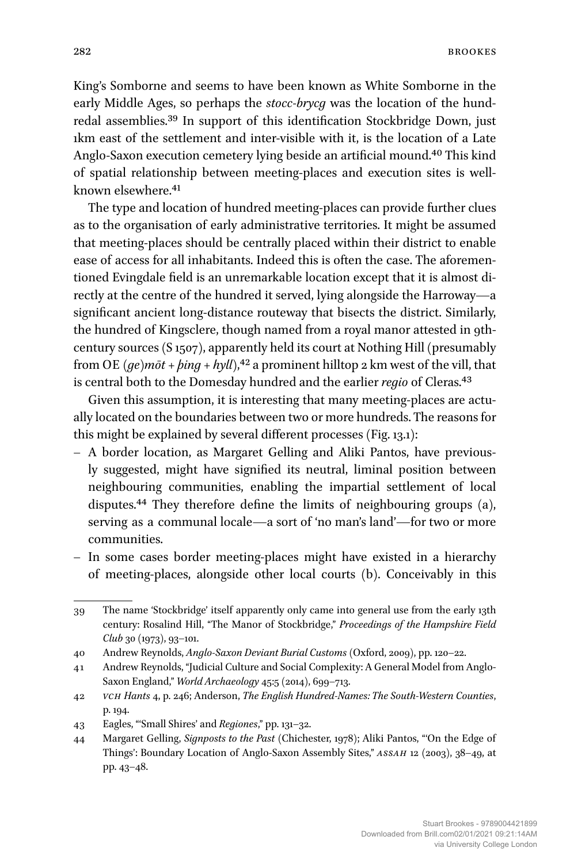King's Somborne and seems to have been known as White Somborne in the early Middle Ages, so perhaps the *stocc-brycg* was the location of the hundredal assemblies[.39](#page-6-0) In support of this identification Stockbridge Down, just 1km east of the settlement and inter-visible with it, is the location of a Late Anglo-Saxon execution cemetery lying beside an artificial mound.[40](#page-6-1) This kind of spatial relationship between meeting-places and execution sites is wellknown elsewhere.[41](#page-6-2)

The type and location of hundred meeting-places can provide further clues as to the organisation of early administrative territories. It might be assumed that meeting-places should be centrally placed within their district to enable ease of access for all inhabitants. Indeed this is often the case. The aforementioned Evingdale field is an unremarkable location except that it is almost directly at the centre of the hundred it served, lying alongside the Harroway—a significant ancient long-distance routeway that bisects the district. Similarly, the hundred of Kingsclere, though named from a royal manor attested in 9thcentury sources (S 1507), apparently held its court at Nothing Hill (presumably from OE  $(ge) m\bar{o}t + p\bar{u}g + h\gamma l$ ,<sup>42</sup> a prominent hilltop 2 km west of the vill, that is central both to the Domesday hundred and the earlier *regio* of Cleras[.43](#page-6-4)

Given this assumption, it is interesting that many meeting-places are actually located on the boundaries between two or more hundreds. The reasons for this might be explained by several different processes [\(Fig. 13.1](#page-7-0)):

- A border location, as Margaret Gelling and Aliki Pantos, have previously suggested, might have signified its neutral, liminal position between neighbouring communities, enabling the impartial settlement of local disputes[.44](#page-6-5) They therefore define the limits of neighbouring groups (a), serving as a communal locale—a sort of 'no man's land'—for two or more communities.
- In some cases border meeting-places might have existed in a hierarchy of meeting-places, alongside other local courts (b). Conceivably in this

<span id="page-6-3"></span>42 *vch Hants* 4, p. 246; Anderson, *The English Hundred-Names: The South-Western Counties*, p. 194.

<span id="page-6-0"></span><sup>39</sup> The name 'Stockbridge' itself apparently only came into general use from the early 13th century: Rosalind Hill, "The Manor of Stockbridge," *Proceedings of the Hampshire Field Club* 30 (1973), 93–101.

<span id="page-6-1"></span><sup>40</sup> Andrew Reynolds, *Anglo-Saxon Deviant Burial Customs* (Oxford, 2009), pp. 120–22.

<span id="page-6-2"></span><sup>41</sup> Andrew Reynolds, "Judicial Culture and Social Complexity: A General Model from Anglo-Saxon England," *World Archaeology* 45:5 (2014), 699–713.

<span id="page-6-4"></span><sup>43</sup> Eagles, "'Small Shires' and *Regiones*," pp. 131–32.

<span id="page-6-5"></span><sup>44</sup> Margaret Gelling, *Signposts to the Past* (Chichester, 1978); Aliki Pantos, "'On the Edge of Things': Boundary Location of Anglo-Saxon Assembly Sites," *assah* 12 (2003), 38–49, at pp. 43–48.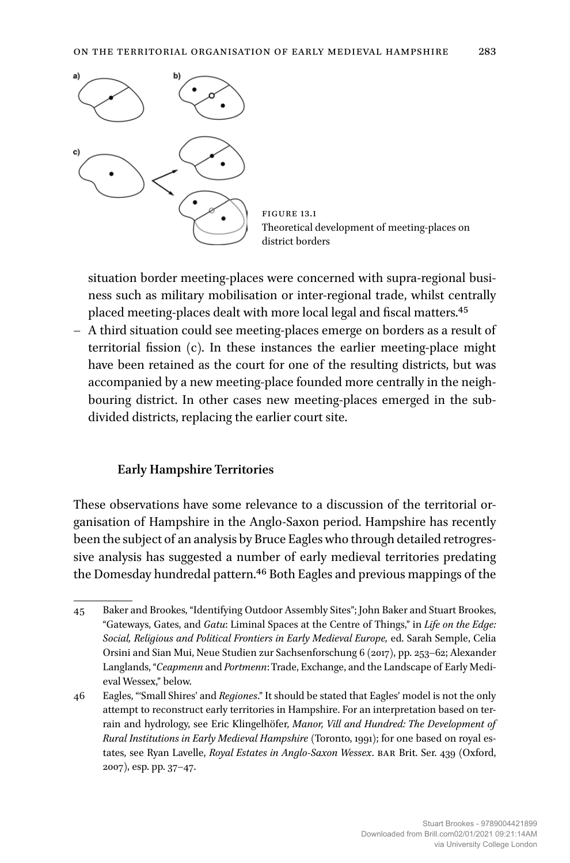<span id="page-7-0"></span>

Figure 13.1 Theoretical development of meeting-places on district borders

situation border meeting-places were concerned with supra-regional business such as military mobilisation or inter-regional trade, whilst centrally placed meeting-places dealt with more local legal and fiscal matters[.45](#page-7-1)

– A third situation could see meeting-places emerge on borders as a result of territorial fission (c). In these instances the earlier meeting-place might have been retained as the court for one of the resulting districts, but was accompanied by a new meeting-place founded more centrally in the neighbouring district. In other cases new meeting-places emerged in the subdivided districts, replacing the earlier court site.

## **Early Hampshire Territories**

These observations have some relevance to a discussion of the territorial organisation of Hampshire in the Anglo-Saxon period. Hampshire has recently been the subject of an analysis by Bruce Eagles who through detailed retrogressive analysis has suggested a number of early medieval territories predating the Domesday hundredal pattern.<sup>46</sup> Both Eagles and previous mappings of the

<span id="page-7-1"></span><sup>45</sup> Baker and Brookes, "Identifying Outdoor Assembly Sites"; John Baker and Stuart Brookes, "Gateways, Gates, and *Gatu*: Liminal Spaces at the Centre of Things," in *Life on the Edge: Social, Religious and Political Frontiers in Early Medieval Europe,* ed. Sarah Semple, Celia Orsini and Sian Mui, Neue Studien zur Sachsenforschung 6 (2017), pp. 253–62; Alexander Langlands, "*Ceapmenn* and *Portmenn*: Trade, Exchange, and the Landscape of Early Medieval Wessex," below.

<span id="page-7-2"></span><sup>46</sup> Eagles, "'Small Shires' and *Regiones*." It should be stated that Eagles' model is not the only attempt to reconstruct early territories in Hampshire. For an interpretation based on terrain and hydrology, see Eric Klingelhöfer, *Manor, Vill and Hundred: The Development of Rural Institutions in Early Medieval Hampshire* (Toronto, 1991); for one based on royal estates, see Ryan Lavelle, *Royal Estates in Anglo-Saxon Wessex*. bar Brit. Ser. 439 (Oxford, 2007), esp. pp. 37–47.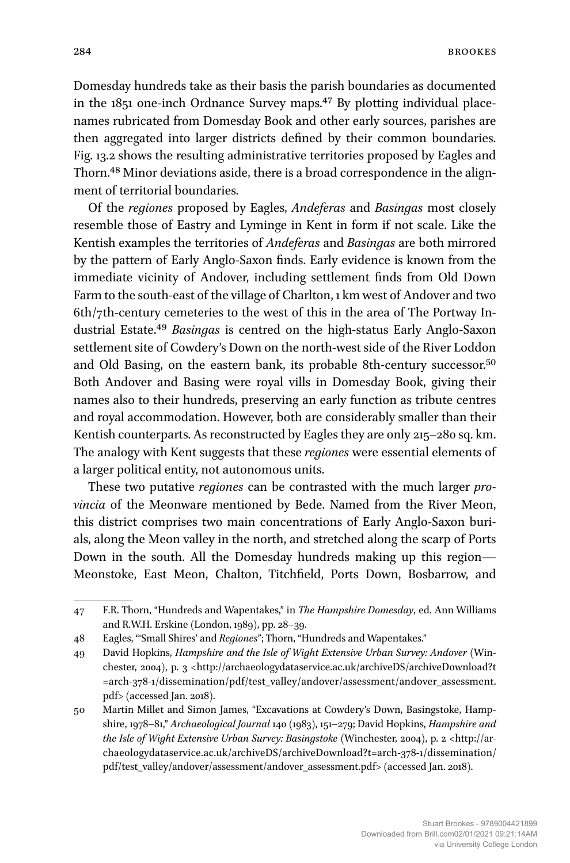Domesday hundreds take as their basis the parish boundaries as documented in the 1851 one-inch Ordnance Survey maps.[47](#page-8-0) By plotting individual placenames rubricated from Domesday Book and other early sources, parishes are then aggregated into larger districts defined by their common boundaries. [Fig. 13.2](#page-9-0) shows the resulting administrative territories proposed by Eagles and Thorn.[48](#page-8-1) Minor deviations aside, there is a broad correspondence in the alignment of territorial boundaries.

Of the *regiones* proposed by Eagles, *Andeferas* and *Basingas* most closely resemble those of Eastry and Lyminge in Kent in form if not scale. Like the Kentish examples the territories of *Andeferas* and *Basingas* are both mirrored by the pattern of Early Anglo-Saxon finds. Early evidence is known from the immediate vicinity of Andover, including settlement finds from Old Down Farm to the south-east of the village of Charlton, 1 km west of Andover and two 6th/7th-century cemeteries to the west of this in the area of The Portway Industrial Estate.[49](#page-8-2) *Basingas* is centred on the high-status Early Anglo-Saxon settlement site of Cowdery's Down on the north-west side of the River Loddon and Old Basing, on the eastern bank, its probable 8th-century successor.[50](#page-8-3) Both Andover and Basing were royal vills in Domesday Book, giving their names also to their hundreds, preserving an early function as tribute centres and royal accommodation. However, both are considerably smaller than their Kentish counterparts. As reconstructed by Eagles they are only 215–280 sq. km. The analogy with Kent suggests that these *regiones* were essential elements of a larger political entity, not autonomous units.

These two putative *regiones* can be contrasted with the much larger *provincia* of the Meonware mentioned by Bede. Named from the River Meon, this district comprises two main concentrations of Early Anglo-Saxon burials, along the Meon valley in the north, and stretched along the scarp of Ports Down in the south. All the Domesday hundreds making up this region— Meonstoke, East Meon, Chalton, Titchfield, Ports Down, Bosbarrow, and

<span id="page-8-0"></span><sup>47</sup> F.R. Thorn, "Hundreds and Wapentakes," in *The Hampshire Domesday*, ed. Ann Williams and R.W.H. Erskine (London, 1989), pp. 28–39.

<span id="page-8-1"></span><sup>48</sup> Eagles, "'Small Shires' and *Regiones*"; Thorn, "Hundreds and Wapentakes."

<span id="page-8-2"></span><sup>49</sup> David Hopkins, *Hampshire and the Isle of Wight Extensive Urban Survey: Andover* (Winchester, 2004), p. 3 <[http://archaeologydataservice.ac.uk/archiveDS/archiveDownload?t](http://archaeologydataservice.ac.uk/archiveDS/archiveDownload?t=arch-378-1/dissemination/pdf/test_valley/andover/assessment/andover_assessment.pdf) [=arch-378-1/dissemination/pdf/test\\_valley/andover/assessment/andover\\_assessment.](http://archaeologydataservice.ac.uk/archiveDS/archiveDownload?t=arch-378-1/dissemination/pdf/test_valley/andover/assessment/andover_assessment.pdf) [pdf>](http://archaeologydataservice.ac.uk/archiveDS/archiveDownload?t=arch-378-1/dissemination/pdf/test_valley/andover/assessment/andover_assessment.pdf) (accessed Jan. 2018).

<span id="page-8-3"></span><sup>50</sup> Martin Millet and Simon James, "Excavations at Cowdery's Down, Basingstoke, Hampshire, 1978–81," *Archaeological Journal* 140 (1983), 151–279; David Hopkins, *Hampshire and the Isle of Wight Extensive Urban Survey: Basingstoke* (Winchester, 2004), p. 2 <[http://ar](http://archaeologydataservice.ac.uk/archiveDS/archiveDownload?t=arch-378-1/dissemination/pdf/test_valley/andover/assessment/andover_assessment.pdf)[chaeologydataservice.ac.uk/archiveDS/archiveDownload?t=arch-378-1/dissemination/](http://archaeologydataservice.ac.uk/archiveDS/archiveDownload?t=arch-378-1/dissemination/pdf/test_valley/andover/assessment/andover_assessment.pdf) [pdf/test\\_valley/andover/assessment/andover\\_assessment.pdf>](http://archaeologydataservice.ac.uk/archiveDS/archiveDownload?t=arch-378-1/dissemination/pdf/test_valley/andover/assessment/andover_assessment.pdf) (accessed Jan. 2018).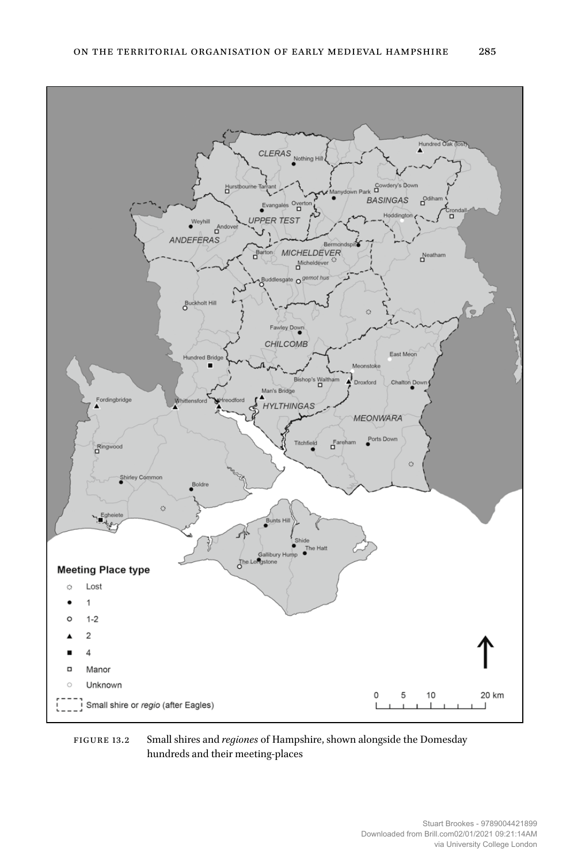<span id="page-9-0"></span>

Figure 13.2 Small shires and *regiones* of Hampshire, shown alongside the Domesday hundreds and their meeting-places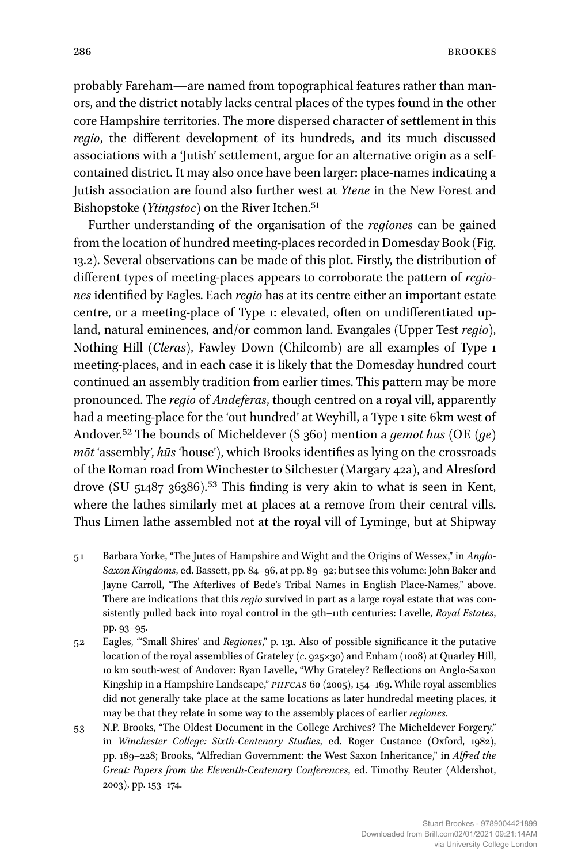probably Fareham—are named from topographical features rather than manors, and the district notably lacks central places of the types found in the other core Hampshire territories. The more dispersed character of settlement in this *regio*, the different development of its hundreds, and its much discussed associations with a 'Jutish' settlement, argue for an alternative origin as a selfcontained district. It may also once have been larger: place-names indicating a Jutish association are found also further west at *Ytene* in the New Forest and Bishopstoke (*Ytingstoc*) on the River Itchen.[51](#page-10-0)

Further understanding of the organisation of the *regiones* can be gained from the location of hundred meeting-places recorded in Domesday Book ([Fig.](#page-9-0)  [13.2](#page-9-0)). Several observations can be made of this plot. Firstly, the distribution of different types of meeting-places appears to corroborate the pattern of *regiones* identified by Eagles. Each *regio* has at its centre either an important estate centre, or a meeting-place of Type 1: elevated, often on undifferentiated upland, natural eminences, and/or common land. Evangales (Upper Test *regio*), Nothing Hill (*Cleras*), Fawley Down (Chilcomb) are all examples of Type 1 meeting-places, and in each case it is likely that the Domesday hundred court continued an assembly tradition from earlier times. This pattern may be more pronounced. The *regio* of *Andeferas*, though centred on a royal vill, apparently had a meeting-place for the 'out hundred' at Weyhill, a Type 1 site 6km west of Andover[.52](#page-10-1) The bounds of Micheldever (S 360) mention a *gemot hus* (OE *(ge) mōt* 'assembly', *hūs* 'house'), which Brooks identifies as lying on the crossroads of the Roman road from Winchester to Silchester (Margary 42a), and Alresford drove (SU 51487 36386).<sup>53</sup> This finding is very akin to what is seen in Kent, where the lathes similarly met at places at a remove from their central vills. Thus Limen lathe assembled not at the royal vill of Lyminge, but at Shipway

<span id="page-10-0"></span><sup>51</sup> Barbara Yorke, "The Jutes of Hampshire and Wight and the Origins of Wessex," in *Anglo-Saxon Kingdoms*, ed. Bassett, pp. 84–96, at pp. 89–92; but see this volume: John Baker and Jayne Carroll, "The Afterlives of Bede's Tribal Names in English Place-Names," above. There are indications that this *regio* survived in part as a large royal estate that was consistently pulled back into royal control in the 9th–11th centuries: Lavelle, *Royal Estates*, pp. 93–95.

<span id="page-10-1"></span><sup>52</sup> Eagles, "'Small Shires' and *Regiones*," p. 131. Also of possible significance it the putative location of the royal assemblies of Grateley (*c*. 925×30) and Enham (1008) at Quarley Hill, 10 km south-west of Andover: Ryan Lavelle, "Why Grateley? Reflections on Anglo-Saxon Kingship in a Hampshire Landscape," *phfcas* 60 (2005), 154–169. While royal assemblies did not generally take place at the same locations as later hundredal meeting places, it may be that they relate in some way to the assembly places of earlier *regiones*.

<span id="page-10-2"></span><sup>53</sup> N.P. Brooks, "The Oldest Document in the College Archives? The Micheldever Forgery," in *Winchester College: Sixth-Centenary Studies*, ed. Roger Custance (Oxford, 1982), pp. 189–228; Brooks, "Alfredian Government: the West Saxon Inheritance," in *Alfred the Great: Papers from the Eleventh-Centenary Conferences*, ed. Timothy Reuter (Aldershot, 2003), pp. 153–174.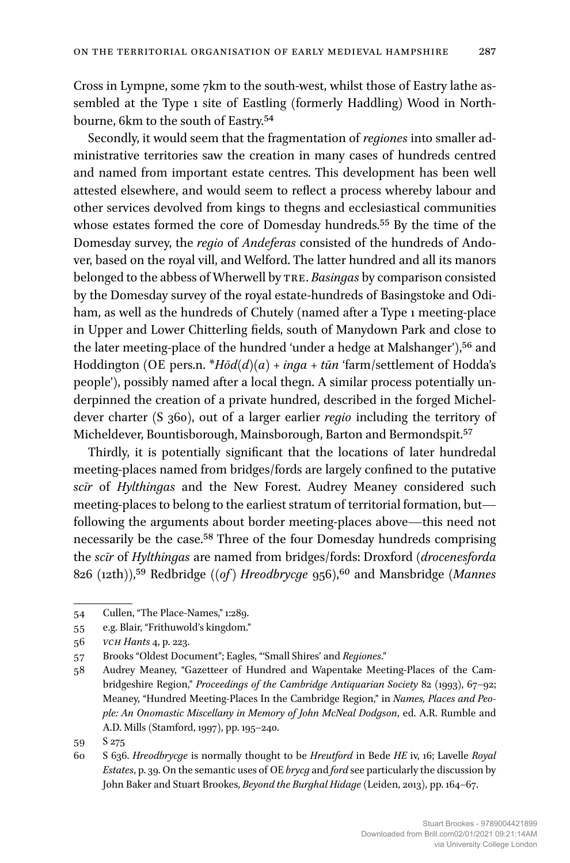Cross in Lympne, some 7km to the south-west, whilst those of Eastry lathe assembled at the Type 1 site of Eastling (formerly Haddling) Wood in Northbourne, 6km to the south of Eastry.[54](#page-11-0)

Secondly, it would seem that the fragmentation of *regiones* into smaller administrative territories saw the creation in many cases of hundreds centred and named from important estate centres. This development has been well attested elsewhere, and would seem to reflect a process whereby labour and other services devolved from kings to thegns and ecclesiastical communities whose estates formed the core of Domesday hundreds.<sup>[55](#page-11-1)</sup> By the time of the Domesday survey, the *regio* of *Andeferas* consisted of the hundreds of Andover, based on the royal vill, and Welford. The latter hundred and all its manors belonged to the abbess of Wherwell by tre. *Basingas* by comparison consisted by the Domesday survey of the royal estate-hundreds of Basingstoke and Odiham, as well as the hundreds of Chutely (named after a Type 1 meeting-place in Upper and Lower Chitterling fields, south of Manydown Park and close to the later meeting-place of the hundred 'under a hedge at Malshanger'),<sup>56</sup> and Hoddington (OE pers.n. \**Hōd(d)(a) + inga + tūn* 'farm/settlement of Hodda's people'), possibly named after a local thegn. A similar process potentially underpinned the creation of a private hundred, described in the forged Micheldever charter (S 360), out of a larger earlier *regio* including the territory of Micheldever, Bountisborough, Mainsborough, Barton and Bermondspit[.57](#page-11-3)

Thirdly, it is potentially significant that the locations of later hundredal meeting-places named from bridges/fords are largely confined to the putative *scīr* of *Hylthingas* and the New Forest. Audrey Meaney considered such meeting-places to belong to the earliest stratum of territorial formation, but following the arguments about border meeting-places above—this need not necessarily be the case.[58](#page-11-4) Three of the four Domesday hundreds comprising the *scīr* of *Hylthingas* are named from bridges/fords: Droxford (*drocenesforda* 826 (12th)),<sup>59</sup> Redbridge ((of) Hreodbrycge 956),<sup>60</sup> and Mansbridge (Mannes

<span id="page-11-0"></span><sup>54</sup> Cullen, "The Place-Names," 1:289.

<span id="page-11-1"></span><sup>55</sup> e.g. Blair, "Frithuwold's kingdom."

<span id="page-11-2"></span><sup>56</sup> *vch Hants* 4, p. 223.

<span id="page-11-3"></span><sup>57</sup> Brooks "Oldest Document"; Eagles, "'Small Shires' and *Regiones*."

<span id="page-11-4"></span><sup>58</sup> Audrey Meaney, "Gazetteer of Hundred and Wapentake Meeting-Places of the Cambridgeshire Region," *Proceedings of the Cambridge Antiquarian Society* 82 (1993), 67–92; Meaney, "Hundred Meeting-Places In the Cambridge Region," in *Names, Places and People: An Onomastic Miscellany in Memory of John McNeal Dodgson*, ed. A.R. Rumble and A.D. Mills (Stamford, 1997), pp. 195–240.

<span id="page-11-5"></span><sup>59</sup> S 275

<span id="page-11-6"></span><sup>60</sup> S 636. *Hreodbrycge* is normally thought to be *Hreutford* in Bede *HE* iv, 16; Lavelle *Royal Estates*, p. 39. On the semantic uses of OE *brycg* and *ford* see particularly the discussion by John Baker and Stuart Brookes, *Beyond the Burghal Hidage* (Leiden, 2013), pp. 164–67.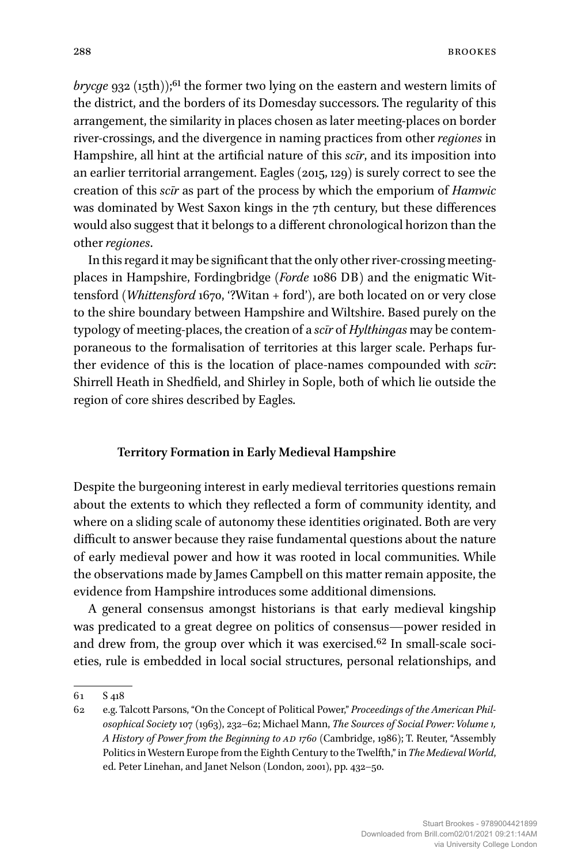*brycge* 932 (15th));<sup>[61](#page-12-0)</sup> the former two lying on the eastern and western limits of the district, and the borders of its Domesday successors. The regularity of this arrangement, the similarity in places chosen as later meeting-places on border river-crossings, and the divergence in naming practices from other *regiones* in Hampshire, all hint at the artificial nature of this *scīr*, and its imposition into an earlier territorial arrangement. Eagles (2015, 129) is surely correct to see the creation of this *scīr* as part of the process by which the emporium of *Hamwic* was dominated by West Saxon kings in the 7th century, but these differences would also suggest that it belongs to a different chronological horizon than the other *regiones*.

In this regard it may be significant that the only other river-crossing meetingplaces in Hampshire, Fordingbridge (*Forde* 1086 DB) and the enigmatic Wittensford (*Whittensford* 1670, '?Witan + ford'), are both located on or very close to the shire boundary between Hampshire and Wiltshire. Based purely on the typology of meeting-places, the creation of a *scīr* of *Hylthingas* may be contemporaneous to the formalisation of territories at this larger scale. Perhaps further evidence of this is the location of place-names compounded with *scīr*: Shirrell Heath in Shedfield, and Shirley in Sople, both of which lie outside the region of core shires described by Eagles.

#### **Territory Formation in Early Medieval Hampshire**

Despite the burgeoning interest in early medieval territories questions remain about the extents to which they reflected a form of community identity, and where on a sliding scale of autonomy these identities originated. Both are very difficult to answer because they raise fundamental questions about the nature of early medieval power and how it was rooted in local communities. While the observations made by James Campbell on this matter remain apposite, the evidence from Hampshire introduces some additional dimensions.

A general consensus amongst historians is that early medieval kingship was predicated to a great degree on politics of consensus—power resided in and drew from, the group over which it was exercised[.62](#page-12-1) In small-scale societies, rule is embedded in local social structures, personal relationships, and

<span id="page-12-0"></span><sup>61</sup> S 418

<span id="page-12-1"></span><sup>62</sup> e.g. Talcott Parsons, "On the Concept of Political Power," *Proceedings of the American Philosophical Society* 107 (1963), 232–62; Michael Mann, *The Sources of Social Power: Volume 1, A History of Power from the Beginning to ad 1760* (Cambridge, 1986); T. Reuter, "Assembly Politics in Western Europe from the Eighth Century to the Twelfth," in *The Medieval World*, ed. Peter Linehan, and Janet Nelson (London, 2001), pp. 432–50.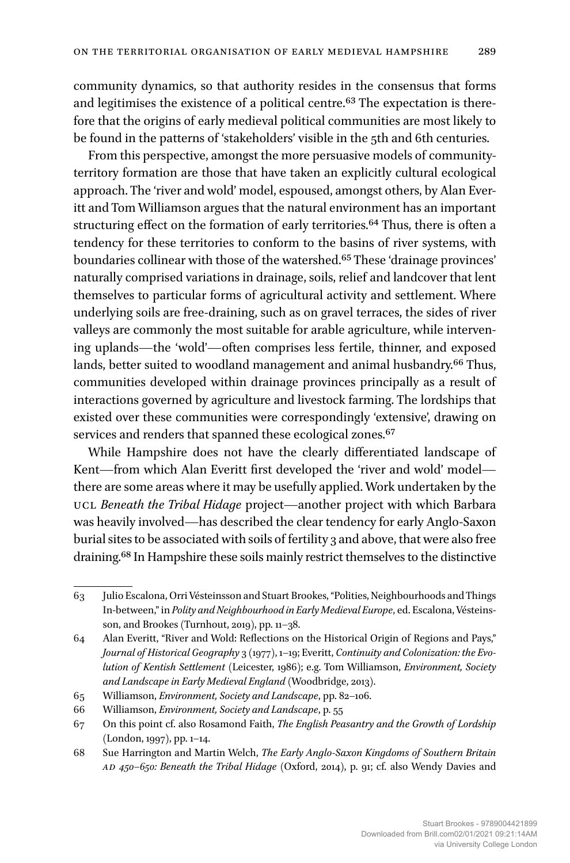community dynamics, so that authority resides in the consensus that forms and legitimises the existence of a political centre[.63](#page-13-0) The expectation is therefore that the origins of early medieval political communities are most likely to be found in the patterns of 'stakeholders' visible in the 5th and 6th centuries.

From this perspective, amongst the more persuasive models of communityterritory formation are those that have taken an explicitly cultural ecological approach. The 'river and wold' model, espoused, amongst others, by Alan Everitt and Tom Williamson argues that the natural environment has an important structuring effect on the formation of early territories.<sup>64</sup> Thus, there is often a tendency for these territories to conform to the basins of river systems, with boundaries collinear with those of the watershed.<sup>65</sup> These 'drainage provinces' naturally comprised variations in drainage, soils, relief and landcover that lent themselves to particular forms of agricultural activity and settlement. Where underlying soils are free-draining, such as on gravel terraces, the sides of river valleys are commonly the most suitable for arable agriculture, while intervening uplands—the 'wold'—often comprises less fertile, thinner, and exposed lands, better suited to woodland management and animal husbandry.<sup>66</sup> Thus, communities developed within drainage provinces principally as a result of interactions governed by agriculture and livestock farming. The lordships that existed over these communities were correspondingly 'extensive', drawing on services and renders that spanned these ecological zones.<sup>67</sup>

While Hampshire does not have the clearly differentiated landscape of Kent—from which Alan Everitt first developed the 'river and wold' model there are some areas where it may be usefully applied. Work undertaken by the ucl *Beneath the Tribal Hidage* project—another project with which Barbara was heavily involved—has described the clear tendency for early Anglo-Saxon burial sites to be associated with soils of fertility 3 and above, that were also free draining[.68](#page-13-5) In Hampshire these soils mainly restrict themselves to the distinctive

<span id="page-13-0"></span><sup>63</sup> Julio Escalona, Orri Vésteinsson and Stuart Brookes, "Polities, Neighbourhoods and Things In-between," in *Polity and Neighbourhood in Early Medieval Europe*, ed. Escalona, Vésteinsson, and Brookes (Turnhout, 2019), pp. 11–38.

<span id="page-13-1"></span><sup>64</sup> Alan Everitt, "River and Wold: Reflections on the Historical Origin of Regions and Pays," *Journal of Historical Geography* 3 (1977), 1–19; Everitt, *Continuity and Colonization: the Evolution of Kentish Settlement* (Leicester, 1986); e.g. Tom Williamson, *Environment, Society and Landscape in Early Medieval England* (Woodbridge, 2013).

<span id="page-13-2"></span><sup>65</sup> Williamson, *Environment, Society and Landscape*, pp. 82–106.

<span id="page-13-3"></span><sup>66</sup> Williamson, *Environment, Society and Landscape*, p. 55

<span id="page-13-4"></span><sup>67</sup> On this point cf. also Rosamond Faith, *The English Peasantry and the Growth of Lordship* (London, 1997), pp. 1–14.

<span id="page-13-5"></span><sup>68</sup> Sue Harrington and Martin Welch, *The Early Anglo-Saxon Kingdoms of Southern Britain ad 450–650: Beneath the Tribal Hidage* (Oxford, 2014), p. 91; cf. also Wendy Davies and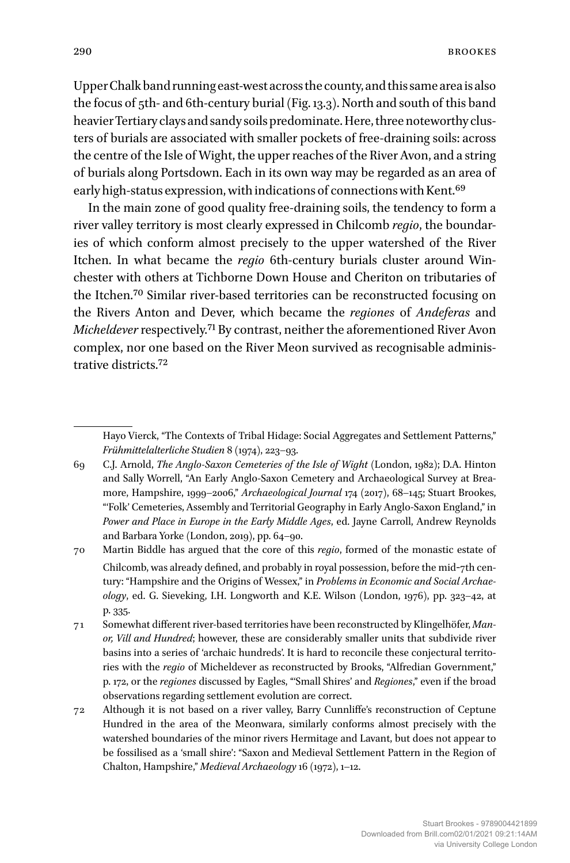Upper Chalk band running east-west across the county, and this same area is also the focus of 5th- and 6th-century burial ([Fig. 13.3](#page-15-0)). North and south of this band heavier Tertiary clays and sandy soils predominate. Here, three noteworthy clusters of burials are associated with smaller pockets of free-draining soils: across the centre of the Isle of Wight, the upper reaches of the River Avon, and a string of burials along Portsdown. Each in its own way may be regarded as an area of early high-status expression, with indications of connections with Kent[.69](#page-14-0)

In the main zone of good quality free-draining soils, the tendency to form a river valley territory is most clearly expressed in Chilcomb *regio*, the boundaries of which conform almost precisely to the upper watershed of the River Itchen. In what became the *regio* 6th-century burials cluster around Winchester with others at Tichborne Down House and Cheriton on tributaries of the Itchen.[70](#page-14-1) Similar river-based territories can be reconstructed focusing on the Rivers Anton and Dever, which became the *regiones* of *Andeferas* and *Micheldever* respectively[.71](#page-14-2) By contrast, neither the aforementioned River Avon complex, nor one based on the River Meon survived as recognisable administrative districts[.72](#page-14-3)

Hayo Vierck, "The Contexts of Tribal Hidage: Social Aggregates and Settlement Patterns," *Frühmittelalterliche Studien* 8 (1974), 223–93.

<span id="page-14-0"></span><sup>69</sup> C.J. Arnold, *The Anglo-Saxon Cemeteries of the Isle of Wight* (London, 1982); D.A. Hinton and Sally Worrell, "An Early Anglo-Saxon Cemetery and Archaeological Survey at Breamore, Hampshire, 1999–2006," *Archaeological Journal* 174 (2017), 68–145; Stuart Brookes, "'Folk' Cemeteries, Assembly and Territorial Geography in Early Anglo-Saxon England," in *Power and Place in Europe in the Early Middle Ages*, ed. Jayne Carroll, Andrew Reynolds and Barbara Yorke (London, 2019), pp. 64–90.

<span id="page-14-1"></span><sup>70</sup> Martin Biddle has argued that the core of this *regio*, formed of the monastic estate of Chilcomb, was already defined, and probably in royal possession, before the mid-7th century: "Hampshire and the Origins of Wessex," in *Problems in Economic and Social Archaeology*, ed. G. Sieveking, I.H. Longworth and K.E. Wilson (London, 1976), pp. 323–42, at p. 335.

<span id="page-14-2"></span><sup>71</sup> Somewhat different river-based territories have been reconstructed by Klingelhöfer, *Manor, Vill and Hundred*; however, these are considerably smaller units that subdivide river basins into a series of 'archaic hundreds'. It is hard to reconcile these conjectural territories with the *regio* of Micheldever as reconstructed by Brooks, "Alfredian Government," p. 172, or the *regiones* discussed by Eagles, "'Small Shires' and *Regiones*," even if the broad observations regarding settlement evolution are correct.

<span id="page-14-3"></span><sup>72</sup> Although it is not based on a river valley, Barry Cunnliffe's reconstruction of Ceptune Hundred in the area of the Meonwara, similarly conforms almost precisely with the watershed boundaries of the minor rivers Hermitage and Lavant, but does not appear to be fossilised as a 'small shire': "Saxon and Medieval Settlement Pattern in the Region of Chalton, Hampshire," *Medieval Archaeology* 16 (1972), 1–12.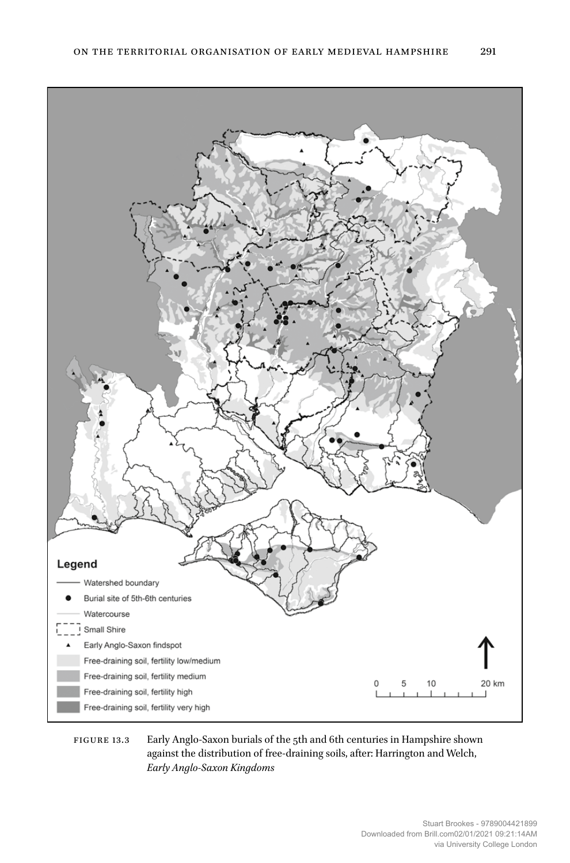<span id="page-15-0"></span>

Figure 13.3 Early Anglo-Saxon burials of the 5th and 6th centuries in Hampshire shown against the distribution of free-draining soils, after: Harrington and Welch, *Early Anglo-Saxon Kingdoms*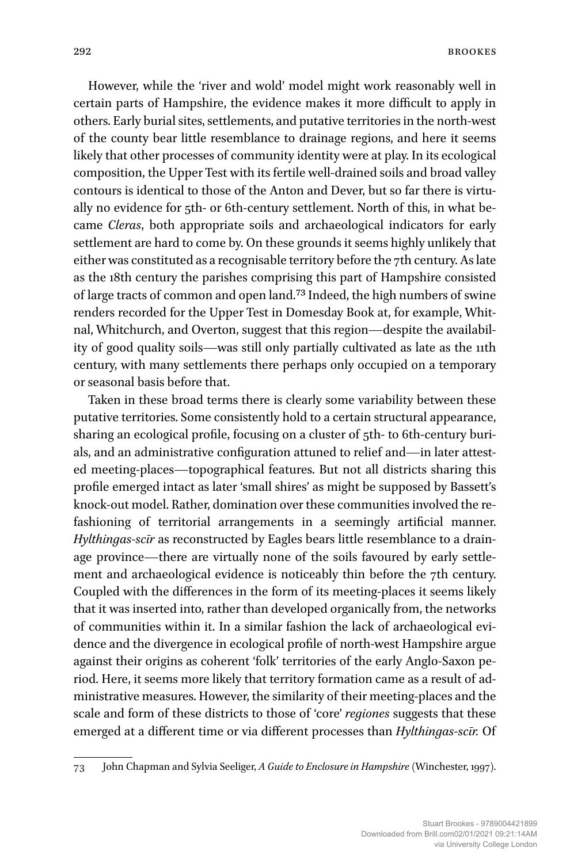However, while the 'river and wold' model might work reasonably well in certain parts of Hampshire, the evidence makes it more difficult to apply in others. Early burial sites, settlements, and putative territories in the north-west of the county bear little resemblance to drainage regions, and here it seems likely that other processes of community identity were at play. In its ecological composition, the Upper Test with its fertile well-drained soils and broad valley contours is identical to those of the Anton and Dever, but so far there is virtually no evidence for 5th- or 6th-century settlement. North of this, in what became *Cleras*, both appropriate soils and archaeological indicators for early settlement are hard to come by. On these grounds it seems highly unlikely that either was constituted as a recognisable territory before the 7th century. As late as the 18th century the parishes comprising this part of Hampshire consisted of large tracts of common and open land[.73](#page-16-0) Indeed, the high numbers of swine renders recorded for the Upper Test in Domesday Book at, for example, Whitnal, Whitchurch, and Overton, suggest that this region—despite the availability of good quality soils—was still only partially cultivated as late as the 11th century, with many settlements there perhaps only occupied on a temporary or seasonal basis before that.

Taken in these broad terms there is clearly some variability between these putative territories. Some consistently hold to a certain structural appearance, sharing an ecological profile, focusing on a cluster of 5th- to 6th-century burials, and an administrative configuration attuned to relief and—in later attested meeting-places—topographical features. But not all districts sharing this profile emerged intact as later 'small shires' as might be supposed by Bassett's knock-out model. Rather, domination over these communities involved the refashioning of territorial arrangements in a seemingly artificial manner. *Hylthingas*-*scīr* as reconstructed by Eagles bears little resemblance to a drainage province—there are virtually none of the soils favoured by early settlement and archaeological evidence is noticeably thin before the 7th century. Coupled with the differences in the form of its meeting-places it seems likely that it was inserted into, rather than developed organically from, the networks of communities within it. In a similar fashion the lack of archaeological evidence and the divergence in ecological profile of north-west Hampshire argue against their origins as coherent 'folk' territories of the early Anglo-Saxon period. Here, it seems more likely that territory formation came as a result of administrative measures. However, the similarity of their meeting-places and the scale and form of these districts to those of 'core' *regiones* suggests that these emerged at a different time or via different processes than *Hylthingas*-*scīr.* Of

<span id="page-16-0"></span><sup>73</sup> John Chapman and Sylvia Seeliger, *A Guide to Enclosure in Hampshire* (Winchester, 1997).